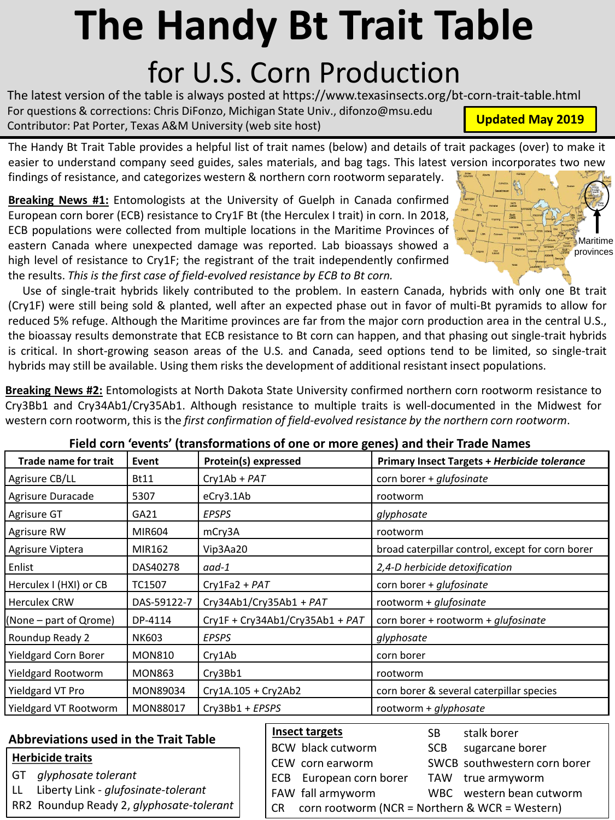## **The Handy Bt Trait Table** for U.S. Corn Production

The latest version of the table is always posted at https://www.texasinsects.org/bt-corn-trait-table.html For questions & corrections: Chris DiFonzo, Michigan State Univ., difonzo@msu.edu Contributor: Pat Porter, Texas A&M University (web site host)

The Handy Bt Trait Table provides a helpful list of trait names (below) and details of trait packages (over) to make it easier to understand company seed guides, sales materials, and bag tags. This latest version incorporates two new findings of resistance, and categorizes western & northern corn rootworm separately.

**Breaking News #1:** Entomologists at the University of Guelph in Canada confirmed European corn borer (ECB) resistance to Cry1F Bt (the Herculex I trait) in corn. In 2018, ECB populations were collected from multiple locations in the Maritime Provinces of eastern Canada where unexpected damage was reported. Lab bioassays showed a high level of resistance to Cry1F; the registrant of the trait independently confirmed the results. *This is the first case of field-evolved resistance by ECB to Bt corn.*

Use of single-trait hybrids likely contributed to the problem. In eastern Canada, hybrids with only one Bt trait (Cry1F) were still being sold & planted, well after an expected phase out in favor of multi-Bt pyramids to allow for reduced 5% refuge. Although the Maritime provinces are far from the major corn production area in the central U.S., the bioassay results demonstrate that ECB resistance to Bt corn can happen, and that phasing out single-trait hybrids is critical. In short-growing season areas of the U.S. and Canada, seed options tend to be limited, so single-trait hybrids may still be available. Using them risks the development of additional resistant insect populations.

**Breaking News #2:** Entomologists at North Dakota State University confirmed northern corn rootworm resistance to Cry3Bb1 and Cry34Ab1/Cry35Ab1. Although resistance to multiple traits is well-documented in the Midwest for western corn rootworm, this is the *first confirmation of field-evolved resistance by the northern corn rootworm*.

|  | Field corn 'events' (transformations of one or more genes) and their Trade Names |  |  |
|--|----------------------------------------------------------------------------------|--|--|
|  |                                                                                  |  |  |

| Trade name for trait      | Event         | <b>Protein(s) expressed</b>       | Primary Insect Targets + Herbicide tolerance     |  |  |  |  |  |
|---------------------------|---------------|-----------------------------------|--------------------------------------------------|--|--|--|--|--|
| Agrisure CB/LL            | <b>Bt11</b>   | $Cry1Ab + PAT$                    | corn borer + glufosinate                         |  |  |  |  |  |
| Agrisure Duracade         | 5307          | eCry3.1Ab                         | rootworm                                         |  |  |  |  |  |
| Agrisure GT               | GA21          | <b>EPSPS</b>                      | glyphosate                                       |  |  |  |  |  |
| Agrisure RW               | MIR604        | mCry3A                            | rootworm                                         |  |  |  |  |  |
| Agrisure Viptera          | MIR162        | Vip3Aa20                          | broad caterpillar control, except for corn borer |  |  |  |  |  |
| Enlist                    | DAS40278      | aad-1                             | 2,4-D herbicide detoxification                   |  |  |  |  |  |
| Herculex I (HXI) or CB    | TC1507        | $Cry1Fa2 + PAT$                   | corn borer + glufosinate                         |  |  |  |  |  |
| <b>Herculex CRW</b>       | DAS-59122-7   | Cry34Ab1/Cry35Ab1 + PAT           | rootworm + glufosinate                           |  |  |  |  |  |
| (None – part of Qrome)    | DP-4114       | $Cry1F + Cry34Ab1/Cry35Ab1 + PAT$ | corn borer + rootworm + <i>glufosinate</i>       |  |  |  |  |  |
| Roundup Ready 2           | <b>NK603</b>  | <b>EPSPS</b>                      | glyphosate                                       |  |  |  |  |  |
| Yieldgard Corn Borer      | <b>MON810</b> | Cry1Ab                            | corn borer                                       |  |  |  |  |  |
| <b>Yieldgard Rootworm</b> | <b>MON863</b> | Cry3Bb1                           | rootworm                                         |  |  |  |  |  |
| Yieldgard VT Pro          | MON89034      | Cry1A.105 + Cry2Ab2               | corn borer & several caterpillar species         |  |  |  |  |  |
| Yieldgard VT Rootworm     | MON88017      | Cry3Bb1 + EPSPS                   | rootworm + glyphosate                            |  |  |  |  |  |

## **Abbreviations used in the Trait Table**

## **Herbicide traits**

- GT *glyphosate tolerant*
- LL Liberty Link *glufosinate-tolerant*
- RR2 Roundup Ready 2, *glyphosate-tolerant*

| <b>Insect targets</b>                               | SB.        | stalk borer                  |  |  |  |  |  |
|-----------------------------------------------------|------------|------------------------------|--|--|--|--|--|
| BCW black cutworm                                   | <b>SCB</b> | sugarcane borer              |  |  |  |  |  |
| CEW corn earworm                                    |            | SWCB southwestern corn borer |  |  |  |  |  |
| ECB European corn borer                             |            | TAW true armyworm            |  |  |  |  |  |
| FAW fall armyworm                                   |            | WBC western bean cutworm     |  |  |  |  |  |
| $CR$ corn rootworm (NCR = Northern & WCR = Western) |            |                              |  |  |  |  |  |



**Updated May 2019**